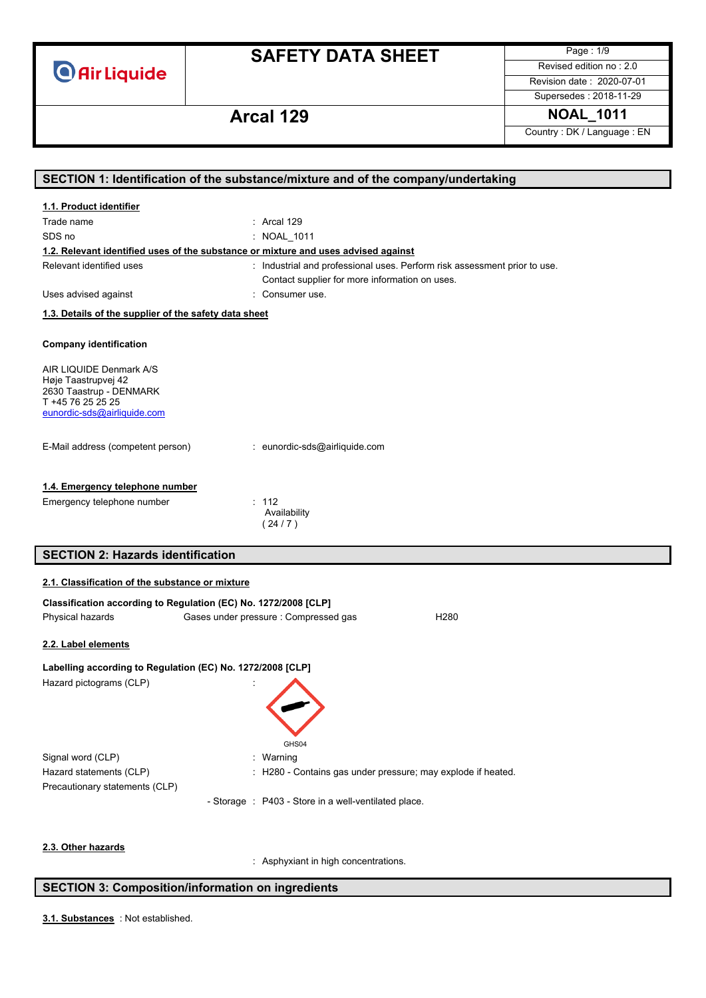**O** Air Liquide

# **SAFETY DATA SHEET**

Page : 1/9 Revised edition no : 2.0

Revision date : 2020-07-01 Supersedes : 2018-11-29

### **Arcal 129 NOAL\_1011**

Country : DK / Language : EN

| 1.1. Product identifier<br>Trade name<br>$:$ Arcal 129<br>SDS no<br>: NOAL 1011<br>1.2. Relevant identified uses of the substance or mixture and uses advised against<br>Relevant identified uses<br>: Industrial and professional uses. Perform risk assessment prior to use.<br>Contact supplier for more information on uses.<br>Uses advised against<br>: Consumer use.<br>1.3. Details of the supplier of the safety data sheet<br><b>Company identification</b><br>AIR LIQUIDE Denmark A/S<br>Høje Taastrupvej 42<br>2630 Taastrup - DENMARK<br>T +45 76 25 25 25<br>eunordic-sds@airliquide.com<br>E-Mail address (competent person)<br>: eunordic-sds@airliquide.com<br>1.4. Emergency telephone number<br>Emergency telephone number<br>: 112<br>Availability<br>(24/7)<br><b>SECTION 2: Hazards identification</b><br>2.1. Classification of the substance or mixture<br>Classification according to Regulation (EC) No. 1272/2008 [CLP]<br>Gases under pressure : Compressed gas<br>Physical hazards<br>H <sub>280</sub><br>2.2. Label elements<br>Labelling according to Regulation (EC) No. 1272/2008 [CLP]<br>Hazard pictograms (CLP)<br>GHS04<br>Signal word (CLP)<br>: Warning<br>Hazard statements (CLP)<br>: H280 - Contains gas under pressure; may explode if heated.<br>Precautionary statements (CLP)<br>- Storage : P403 - Store in a well-ventilated place.<br>2.3. Other hazards | SECTION 1: Identification of the substance/mixture and of the company/undertaking |                                      |  |
|-----------------------------------------------------------------------------------------------------------------------------------------------------------------------------------------------------------------------------------------------------------------------------------------------------------------------------------------------------------------------------------------------------------------------------------------------------------------------------------------------------------------------------------------------------------------------------------------------------------------------------------------------------------------------------------------------------------------------------------------------------------------------------------------------------------------------------------------------------------------------------------------------------------------------------------------------------------------------------------------------------------------------------------------------------------------------------------------------------------------------------------------------------------------------------------------------------------------------------------------------------------------------------------------------------------------------------------------------------------------------------------------------------------|-----------------------------------------------------------------------------------|--------------------------------------|--|
|                                                                                                                                                                                                                                                                                                                                                                                                                                                                                                                                                                                                                                                                                                                                                                                                                                                                                                                                                                                                                                                                                                                                                                                                                                                                                                                                                                                                           |                                                                                   |                                      |  |
|                                                                                                                                                                                                                                                                                                                                                                                                                                                                                                                                                                                                                                                                                                                                                                                                                                                                                                                                                                                                                                                                                                                                                                                                                                                                                                                                                                                                           |                                                                                   |                                      |  |
|                                                                                                                                                                                                                                                                                                                                                                                                                                                                                                                                                                                                                                                                                                                                                                                                                                                                                                                                                                                                                                                                                                                                                                                                                                                                                                                                                                                                           |                                                                                   |                                      |  |
|                                                                                                                                                                                                                                                                                                                                                                                                                                                                                                                                                                                                                                                                                                                                                                                                                                                                                                                                                                                                                                                                                                                                                                                                                                                                                                                                                                                                           |                                                                                   |                                      |  |
|                                                                                                                                                                                                                                                                                                                                                                                                                                                                                                                                                                                                                                                                                                                                                                                                                                                                                                                                                                                                                                                                                                                                                                                                                                                                                                                                                                                                           |                                                                                   |                                      |  |
|                                                                                                                                                                                                                                                                                                                                                                                                                                                                                                                                                                                                                                                                                                                                                                                                                                                                                                                                                                                                                                                                                                                                                                                                                                                                                                                                                                                                           |                                                                                   |                                      |  |
|                                                                                                                                                                                                                                                                                                                                                                                                                                                                                                                                                                                                                                                                                                                                                                                                                                                                                                                                                                                                                                                                                                                                                                                                                                                                                                                                                                                                           |                                                                                   |                                      |  |
|                                                                                                                                                                                                                                                                                                                                                                                                                                                                                                                                                                                                                                                                                                                                                                                                                                                                                                                                                                                                                                                                                                                                                                                                                                                                                                                                                                                                           |                                                                                   |                                      |  |
|                                                                                                                                                                                                                                                                                                                                                                                                                                                                                                                                                                                                                                                                                                                                                                                                                                                                                                                                                                                                                                                                                                                                                                                                                                                                                                                                                                                                           |                                                                                   |                                      |  |
|                                                                                                                                                                                                                                                                                                                                                                                                                                                                                                                                                                                                                                                                                                                                                                                                                                                                                                                                                                                                                                                                                                                                                                                                                                                                                                                                                                                                           |                                                                                   |                                      |  |
|                                                                                                                                                                                                                                                                                                                                                                                                                                                                                                                                                                                                                                                                                                                                                                                                                                                                                                                                                                                                                                                                                                                                                                                                                                                                                                                                                                                                           |                                                                                   |                                      |  |
|                                                                                                                                                                                                                                                                                                                                                                                                                                                                                                                                                                                                                                                                                                                                                                                                                                                                                                                                                                                                                                                                                                                                                                                                                                                                                                                                                                                                           |                                                                                   |                                      |  |
|                                                                                                                                                                                                                                                                                                                                                                                                                                                                                                                                                                                                                                                                                                                                                                                                                                                                                                                                                                                                                                                                                                                                                                                                                                                                                                                                                                                                           |                                                                                   |                                      |  |
|                                                                                                                                                                                                                                                                                                                                                                                                                                                                                                                                                                                                                                                                                                                                                                                                                                                                                                                                                                                                                                                                                                                                                                                                                                                                                                                                                                                                           |                                                                                   |                                      |  |
|                                                                                                                                                                                                                                                                                                                                                                                                                                                                                                                                                                                                                                                                                                                                                                                                                                                                                                                                                                                                                                                                                                                                                                                                                                                                                                                                                                                                           |                                                                                   |                                      |  |
|                                                                                                                                                                                                                                                                                                                                                                                                                                                                                                                                                                                                                                                                                                                                                                                                                                                                                                                                                                                                                                                                                                                                                                                                                                                                                                                                                                                                           |                                                                                   |                                      |  |
|                                                                                                                                                                                                                                                                                                                                                                                                                                                                                                                                                                                                                                                                                                                                                                                                                                                                                                                                                                                                                                                                                                                                                                                                                                                                                                                                                                                                           |                                                                                   |                                      |  |
|                                                                                                                                                                                                                                                                                                                                                                                                                                                                                                                                                                                                                                                                                                                                                                                                                                                                                                                                                                                                                                                                                                                                                                                                                                                                                                                                                                                                           |                                                                                   |                                      |  |
|                                                                                                                                                                                                                                                                                                                                                                                                                                                                                                                                                                                                                                                                                                                                                                                                                                                                                                                                                                                                                                                                                                                                                                                                                                                                                                                                                                                                           |                                                                                   |                                      |  |
|                                                                                                                                                                                                                                                                                                                                                                                                                                                                                                                                                                                                                                                                                                                                                                                                                                                                                                                                                                                                                                                                                                                                                                                                                                                                                                                                                                                                           |                                                                                   |                                      |  |
|                                                                                                                                                                                                                                                                                                                                                                                                                                                                                                                                                                                                                                                                                                                                                                                                                                                                                                                                                                                                                                                                                                                                                                                                                                                                                                                                                                                                           |                                                                                   |                                      |  |
|                                                                                                                                                                                                                                                                                                                                                                                                                                                                                                                                                                                                                                                                                                                                                                                                                                                                                                                                                                                                                                                                                                                                                                                                                                                                                                                                                                                                           |                                                                                   |                                      |  |
|                                                                                                                                                                                                                                                                                                                                                                                                                                                                                                                                                                                                                                                                                                                                                                                                                                                                                                                                                                                                                                                                                                                                                                                                                                                                                                                                                                                                           |                                                                                   |                                      |  |
|                                                                                                                                                                                                                                                                                                                                                                                                                                                                                                                                                                                                                                                                                                                                                                                                                                                                                                                                                                                                                                                                                                                                                                                                                                                                                                                                                                                                           |                                                                                   |                                      |  |
|                                                                                                                                                                                                                                                                                                                                                                                                                                                                                                                                                                                                                                                                                                                                                                                                                                                                                                                                                                                                                                                                                                                                                                                                                                                                                                                                                                                                           |                                                                                   |                                      |  |
|                                                                                                                                                                                                                                                                                                                                                                                                                                                                                                                                                                                                                                                                                                                                                                                                                                                                                                                                                                                                                                                                                                                                                                                                                                                                                                                                                                                                           |                                                                                   |                                      |  |
|                                                                                                                                                                                                                                                                                                                                                                                                                                                                                                                                                                                                                                                                                                                                                                                                                                                                                                                                                                                                                                                                                                                                                                                                                                                                                                                                                                                                           |                                                                                   |                                      |  |
|                                                                                                                                                                                                                                                                                                                                                                                                                                                                                                                                                                                                                                                                                                                                                                                                                                                                                                                                                                                                                                                                                                                                                                                                                                                                                                                                                                                                           |                                                                                   |                                      |  |
|                                                                                                                                                                                                                                                                                                                                                                                                                                                                                                                                                                                                                                                                                                                                                                                                                                                                                                                                                                                                                                                                                                                                                                                                                                                                                                                                                                                                           |                                                                                   |                                      |  |
|                                                                                                                                                                                                                                                                                                                                                                                                                                                                                                                                                                                                                                                                                                                                                                                                                                                                                                                                                                                                                                                                                                                                                                                                                                                                                                                                                                                                           |                                                                                   |                                      |  |
|                                                                                                                                                                                                                                                                                                                                                                                                                                                                                                                                                                                                                                                                                                                                                                                                                                                                                                                                                                                                                                                                                                                                                                                                                                                                                                                                                                                                           |                                                                                   |                                      |  |
|                                                                                                                                                                                                                                                                                                                                                                                                                                                                                                                                                                                                                                                                                                                                                                                                                                                                                                                                                                                                                                                                                                                                                                                                                                                                                                                                                                                                           |                                                                                   |                                      |  |
|                                                                                                                                                                                                                                                                                                                                                                                                                                                                                                                                                                                                                                                                                                                                                                                                                                                                                                                                                                                                                                                                                                                                                                                                                                                                                                                                                                                                           |                                                                                   |                                      |  |
|                                                                                                                                                                                                                                                                                                                                                                                                                                                                                                                                                                                                                                                                                                                                                                                                                                                                                                                                                                                                                                                                                                                                                                                                                                                                                                                                                                                                           |                                                                                   |                                      |  |
|                                                                                                                                                                                                                                                                                                                                                                                                                                                                                                                                                                                                                                                                                                                                                                                                                                                                                                                                                                                                                                                                                                                                                                                                                                                                                                                                                                                                           |                                                                                   |                                      |  |
|                                                                                                                                                                                                                                                                                                                                                                                                                                                                                                                                                                                                                                                                                                                                                                                                                                                                                                                                                                                                                                                                                                                                                                                                                                                                                                                                                                                                           |                                                                                   |                                      |  |
|                                                                                                                                                                                                                                                                                                                                                                                                                                                                                                                                                                                                                                                                                                                                                                                                                                                                                                                                                                                                                                                                                                                                                                                                                                                                                                                                                                                                           |                                                                                   |                                      |  |
|                                                                                                                                                                                                                                                                                                                                                                                                                                                                                                                                                                                                                                                                                                                                                                                                                                                                                                                                                                                                                                                                                                                                                                                                                                                                                                                                                                                                           |                                                                                   |                                      |  |
|                                                                                                                                                                                                                                                                                                                                                                                                                                                                                                                                                                                                                                                                                                                                                                                                                                                                                                                                                                                                                                                                                                                                                                                                                                                                                                                                                                                                           |                                                                                   |                                      |  |
|                                                                                                                                                                                                                                                                                                                                                                                                                                                                                                                                                                                                                                                                                                                                                                                                                                                                                                                                                                                                                                                                                                                                                                                                                                                                                                                                                                                                           |                                                                                   | : Asphyxiant in high concentrations. |  |

### **SECTION 3: Composition/information on ingredients**

: Not established. **3.1. Substances**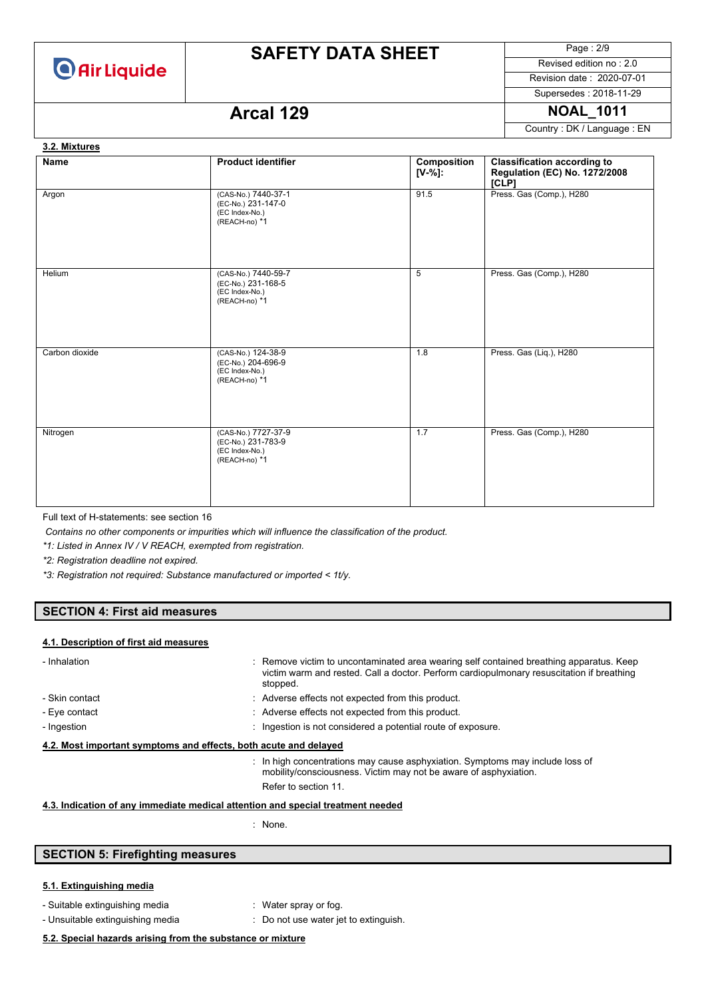

Page : 2/9 Revised edition no : 2.0

Revision date : 2020-07-01 Supersedes : 2018-11-29

### **Arcal 129 NOAL 1011**

Country : DK / Language : EN

### **Name Product identifier Product identifier Composition [V-%]: Classification according to Regulation (EC) No. 1272/2008 [CLP]** Argon (CAS-No.) 7440-37-1 (EC-No.) 231-147-0 (EC Index-No.) (REACH-no) \*1 91.5 Press. Gas (Comp.), H280 Helium (CAS-No.) 7440-59-7 (EC-No.) 231-168-5 (EC Index-No.) (REACH-no) \*1 5 Press. Gas (Comp.), H280 Carbon dioxide (CAS-No.) 124-38-9 (EC-No.) 204-696-9 (EC Index-No.) (REACH-no) \*1 1.8 Press. Gas (Liq.), H280 Nitrogen (CAS-No.) 7727-37-9 (EC-No.) 231-783-9 (EC Index-No.) (REACH-no) \*1 1.7 Press. Gas (Comp.), H280 **3.2. Mixtures**

Full text of H-statements: see section 16

*Contains no other components or impurities which will influence the classification of the product.*

*\*1: Listed in Annex IV / V REACH, exempted from registration.*

*\*2: Registration deadline not expired.*

*\*3: Registration not required: Substance manufactured or imported < 1t/y.*

#### **SECTION 4: First aid measures**

#### **4.1. Description of first aid measures**

| - Inhalation                                                     | : Remove victim to uncontaminated area wearing self contained breathing apparatus. Keep<br>victim warm and rested. Call a doctor. Perform cardiopulmonary resuscitation if breathing<br>stopped. |  |
|------------------------------------------------------------------|--------------------------------------------------------------------------------------------------------------------------------------------------------------------------------------------------|--|
| - Skin contact                                                   | : Adverse effects not expected from this product.                                                                                                                                                |  |
| - Eye contact                                                    | : Adverse effects not expected from this product.                                                                                                                                                |  |
| - Ingestion                                                      | : Ingestion is not considered a potential route of exposure.                                                                                                                                     |  |
| 4.2. Most important symptoms and effects, both acute and delayed |                                                                                                                                                                                                  |  |
|                                                                  | : In high concentrations may cause asphyxiation. Symptoms may include loss of<br>mobility/consciousness. Victim may not be aware of asphyxiation.                                                |  |
|                                                                  | Refer to section 11.                                                                                                                                                                             |  |

- **4.3. Indication of any immediate medical attention and special treatment needed**
	- : None.

### **SECTION 5: Firefighting measures**

#### **5.1. Extinguishing media**

- Suitable extinguishing media : Water spray or fog.
	-
- 
- Unsuitable extinguishing media : Do not use water jet to extinguish.

#### **5.2. Special hazards arising from the substance or mixture**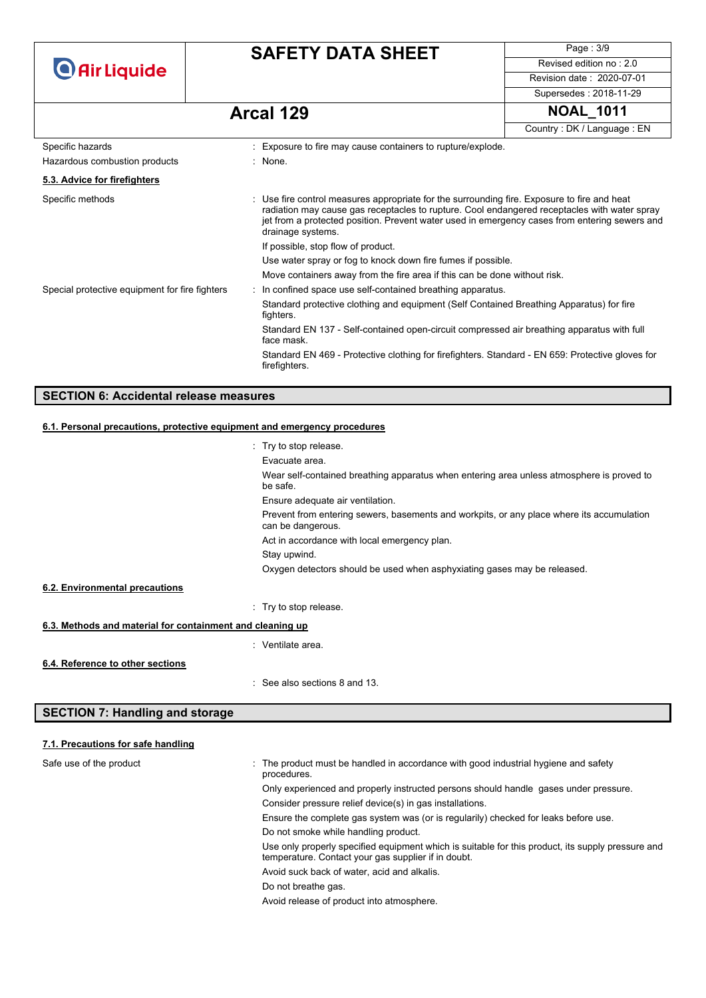| <b>O</b> Air Liquide                           |  | <b>SAFETY DATA SHEET</b>                                                                                                                                                                                                                                                                                          | Page: 3/9                  |
|------------------------------------------------|--|-------------------------------------------------------------------------------------------------------------------------------------------------------------------------------------------------------------------------------------------------------------------------------------------------------------------|----------------------------|
|                                                |  |                                                                                                                                                                                                                                                                                                                   | Revised edition no: 2.0    |
|                                                |  |                                                                                                                                                                                                                                                                                                                   | Revision date: 2020-07-01  |
|                                                |  |                                                                                                                                                                                                                                                                                                                   | Supersedes: 2018-11-29     |
|                                                |  | Arcal 129                                                                                                                                                                                                                                                                                                         | <b>NOAL 1011</b>           |
|                                                |  |                                                                                                                                                                                                                                                                                                                   | Country: DK / Language: EN |
| Specific hazards                               |  | : Exposure to fire may cause containers to rupture/explode.                                                                                                                                                                                                                                                       |                            |
| Hazardous combustion products                  |  | : None.                                                                                                                                                                                                                                                                                                           |                            |
| 5.3. Advice for firefighters                   |  |                                                                                                                                                                                                                                                                                                                   |                            |
| Specific methods                               |  | : Use fire control measures appropriate for the surrounding fire. Exposure to fire and heat<br>radiation may cause gas receptacles to rupture. Cool endangered receptacles with water spray<br>jet from a protected position. Prevent water used in emergency cases from entering sewers and<br>drainage systems. |                            |
|                                                |  | If possible, stop flow of product.                                                                                                                                                                                                                                                                                |                            |
|                                                |  | Use water spray or fog to knock down fire fumes if possible.                                                                                                                                                                                                                                                      |                            |
|                                                |  | Move containers away from the fire area if this can be done without risk.                                                                                                                                                                                                                                         |                            |
| Special protective equipment for fire fighters |  | In confined space use self-contained breathing apparatus.                                                                                                                                                                                                                                                         |                            |
|                                                |  | Standard protective clothing and equipment (Self Contained Breathing Apparatus) for fire<br>fighters.                                                                                                                                                                                                             |                            |
|                                                |  | Standard EN 137 - Self-contained open-circuit compressed air breathing apparatus with full<br>face mask.                                                                                                                                                                                                          |                            |
|                                                |  | Standard EN 469 - Protective clothing for firefighters. Standard - EN 659: Protective gloves for<br>firefighters.                                                                                                                                                                                                 |                            |

### **SECTION 6: Accidental release measures**

### **6.1. Personal precautions, protective equipment and emergency procedures**

|                                                           | $\therefore$ Try to stop release.                                                                              |  |
|-----------------------------------------------------------|----------------------------------------------------------------------------------------------------------------|--|
|                                                           | Evacuate area.                                                                                                 |  |
|                                                           | Wear self-contained breathing apparatus when entering area unless atmosphere is proved to<br>be safe.          |  |
|                                                           | Ensure adequate air ventilation.                                                                               |  |
|                                                           | Prevent from entering sewers, basements and workpits, or any place where its accumulation<br>can be dangerous. |  |
|                                                           | Act in accordance with local emergency plan.                                                                   |  |
|                                                           | Stay upwind.                                                                                                   |  |
|                                                           | Oxygen detectors should be used when asphyxiating gases may be released.                                       |  |
| 6.2. Environmental precautions                            |                                                                                                                |  |
|                                                           | : Try to stop release.                                                                                         |  |
| 6.3. Methods and material for containment and cleaning up |                                                                                                                |  |
|                                                           | : Ventilate area.                                                                                              |  |
| 6.4. Reference to other sections                          |                                                                                                                |  |
|                                                           | $\therefore$ See also sections 8 and 13.                                                                       |  |

### **SECTION 7: Handling and storage**

### **7.1. Precautions for safe handling**

| Safe use of the product | The product must be handled in accordance with good industrial hygiene and safety<br>procedures.                                                         |
|-------------------------|----------------------------------------------------------------------------------------------------------------------------------------------------------|
|                         | Only experienced and properly instructed persons should handle gases under pressure.                                                                     |
|                         | Consider pressure relief device(s) in gas installations.                                                                                                 |
|                         | Ensure the complete gas system was (or is regularily) checked for leaks before use.                                                                      |
|                         | Do not smoke while handling product.                                                                                                                     |
|                         | Use only properly specified equipment which is suitable for this product, its supply pressure and<br>temperature. Contact your gas supplier if in doubt. |
|                         | Avoid suck back of water, acid and alkalis.                                                                                                              |
|                         | Do not breathe gas.                                                                                                                                      |
|                         | Avoid release of product into atmosphere.                                                                                                                |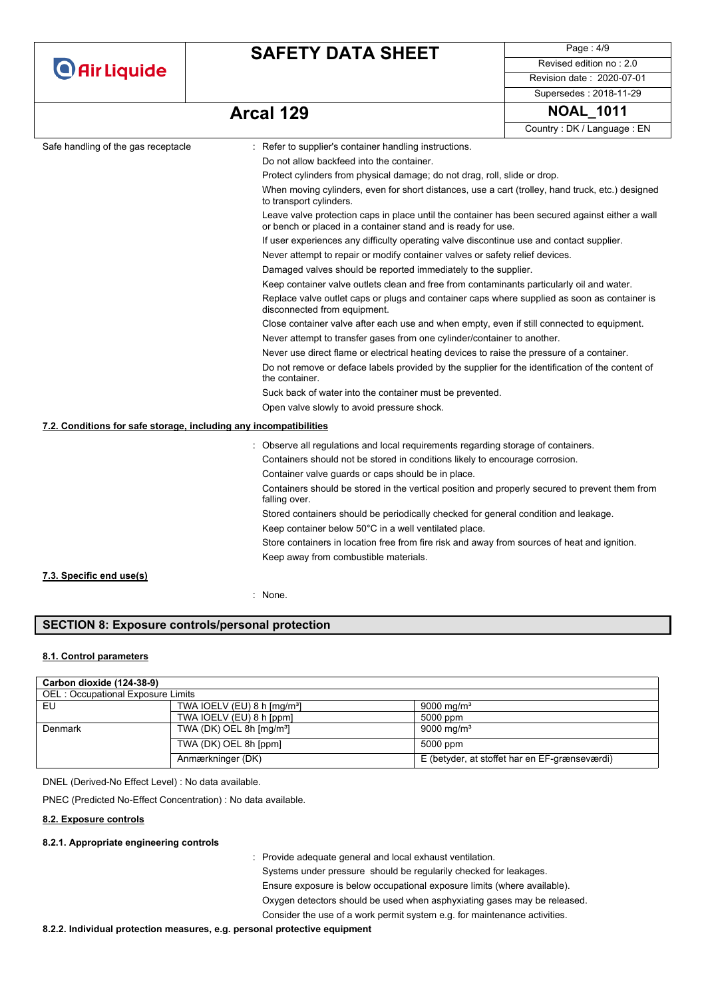| <b>O</b> Air Liquide                                              | <b>SAFETY DATA SHEET</b>                                                                                                                                         | Page: 4/9                  |  |  |
|-------------------------------------------------------------------|------------------------------------------------------------------------------------------------------------------------------------------------------------------|----------------------------|--|--|
|                                                                   |                                                                                                                                                                  | Revised edition no: 2.0    |  |  |
|                                                                   |                                                                                                                                                                  | Revision date: 2020-07-01  |  |  |
|                                                                   |                                                                                                                                                                  | Supersedes: 2018-11-29     |  |  |
|                                                                   | Arcal 129                                                                                                                                                        | <b>NOAL 1011</b>           |  |  |
|                                                                   |                                                                                                                                                                  | Country: DK / Language: EN |  |  |
| Safe handling of the gas receptacle                               | : Refer to supplier's container handling instructions.                                                                                                           |                            |  |  |
|                                                                   | Do not allow backfeed into the container.                                                                                                                        |                            |  |  |
|                                                                   | Protect cylinders from physical damage; do not drag, roll, slide or drop.                                                                                        |                            |  |  |
|                                                                   | When moving cylinders, even for short distances, use a cart (trolley, hand truck, etc.) designed<br>to transport cylinders.                                      |                            |  |  |
|                                                                   | Leave valve protection caps in place until the container has been secured against either a wall<br>or bench or placed in a container stand and is ready for use. |                            |  |  |
|                                                                   | If user experiences any difficulty operating valve discontinue use and contact supplier.                                                                         |                            |  |  |
|                                                                   | Never attempt to repair or modify container valves or safety relief devices.                                                                                     |                            |  |  |
|                                                                   | Damaged valves should be reported immediately to the supplier.                                                                                                   |                            |  |  |
|                                                                   | Keep container valve outlets clean and free from contaminants particularly oil and water.                                                                        |                            |  |  |
|                                                                   | Replace valve outlet caps or plugs and container caps where supplied as soon as container is<br>disconnected from equipment.                                     |                            |  |  |
|                                                                   | Close container valve after each use and when empty, even if still connected to equipment.                                                                       |                            |  |  |
|                                                                   | Never attempt to transfer gases from one cylinder/container to another.                                                                                          |                            |  |  |
|                                                                   | Never use direct flame or electrical heating devices to raise the pressure of a container.                                                                       |                            |  |  |
|                                                                   | Do not remove or deface labels provided by the supplier for the identification of the content of<br>the container.                                               |                            |  |  |
|                                                                   | Suck back of water into the container must be prevented.                                                                                                         |                            |  |  |
|                                                                   | Open valve slowly to avoid pressure shock.                                                                                                                       |                            |  |  |
| 7.2. Conditions for safe storage, including any incompatibilities |                                                                                                                                                                  |                            |  |  |
|                                                                   | : Observe all regulations and local requirements regarding storage of containers.                                                                                |                            |  |  |
|                                                                   | Containers should not be stored in conditions likely to encourage corrosion.                                                                                     |                            |  |  |
|                                                                   | Container valve guards or caps should be in place.                                                                                                               |                            |  |  |
|                                                                   | Containers should be stored in the vertical position and properly secured to prevent them from<br>falling over.                                                  |                            |  |  |
|                                                                   | Stored containers should be periodically checked for general condition and leakage.                                                                              |                            |  |  |
|                                                                   | Keep container below 50°C in a well ventilated place.                                                                                                            |                            |  |  |
|                                                                   | Store containers in location free from fire risk and away from sources of heat and ignition.                                                                     |                            |  |  |
|                                                                   | Keep away from combustible materials.                                                                                                                            |                            |  |  |
| 7.3. Specific end use(s)                                          |                                                                                                                                                                  |                            |  |  |

: None.

### **SECTION 8: Exposure controls/personal protection**

#### **8.1. Control parameters**

| Carbon dioxide (124-38-9)         |                                      |                                               |
|-----------------------------------|--------------------------------------|-----------------------------------------------|
| OEL: Occupational Exposure Limits |                                      |                                               |
| EU                                | TWA IOELV (EU) 8 h $\text{[mq/m³]}$  | 9000 mg/m <sup>3</sup>                        |
|                                   | TWA IOELV (EU) 8 h [ppm]             | 5000 ppm                                      |
| Denmark                           | TWA (DK) OEL 8h [mg/m <sup>3</sup> ] | 9000 mg/m <sup>3</sup>                        |
|                                   | TWA (DK) OEL 8h [ppm]                | 5000 ppm                                      |
|                                   | Anmærkninger (DK)                    | E (betyder, at stoffet har en EF-grænseværdi) |

DNEL (Derived-No Effect Level) : No data available.

PNEC (Predicted No-Effect Concentration) : No data available.

#### **8.2. Exposure controls**

#### **8.2.1. Appropriate engineering controls**

: Provide adequate general and local exhaust ventilation.

Systems under pressure should be regularily checked for leakages. Ensure exposure is below occupational exposure limits (where available). Oxygen detectors should be used when asphyxiating gases may be released. Consider the use of a work permit system e.g. for maintenance activities.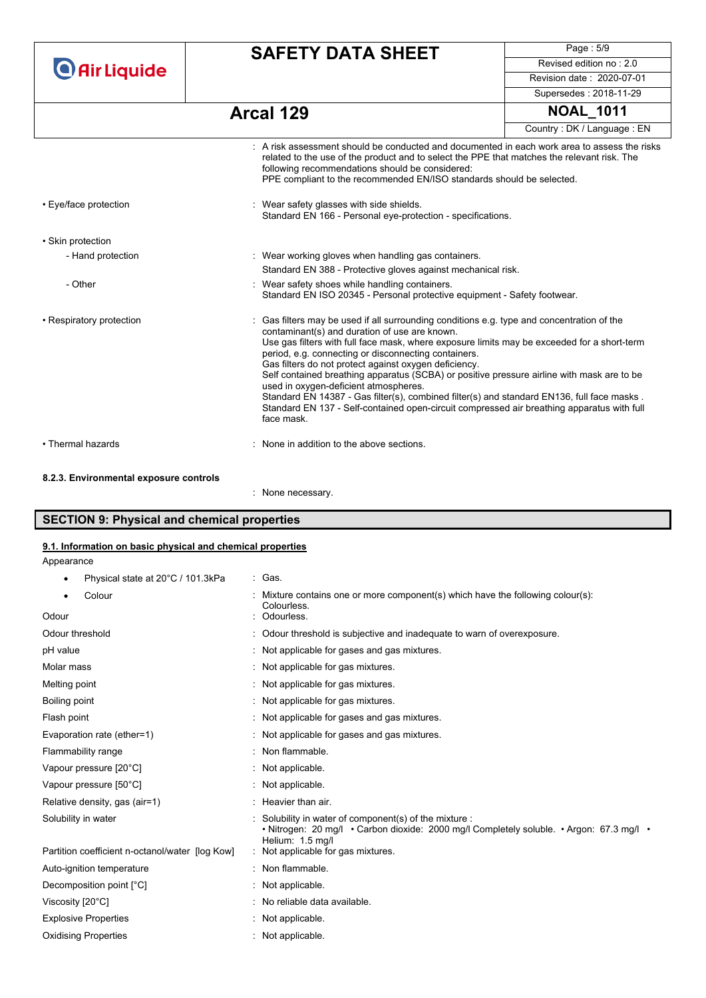**O** Air Liquide

# **SAFETY DATA SHEET**

Page : 5/9 Revised edition no : 2.0 Revision date : 2020-07-01

Supersedes : 2018-11-29

| Arcal 129                                                                                                                                                                                                                                                                                                                          | <b>NOAL 1011</b>           |
|------------------------------------------------------------------------------------------------------------------------------------------------------------------------------------------------------------------------------------------------------------------------------------------------------------------------------------|----------------------------|
|                                                                                                                                                                                                                                                                                                                                    | Country: DK / Language: EN |
| $\therefore$ A risk assessment should be conducted and documented in each work area to assess the risks<br>related to the use of the product and to select the PPE that matches the relevant risk. The<br>following recommendations should be considered:<br>PPE compliant to the recommended EN/ISO standards should be selected. |                            |

| • Eye/face protection    | Wear safety glasses with side shields.<br>Standard EN 166 - Personal eye-protection - specifications.                                                                                                                                                                                                                                                                                                                                                                                                                                                                                                                                                                                                        |
|--------------------------|--------------------------------------------------------------------------------------------------------------------------------------------------------------------------------------------------------------------------------------------------------------------------------------------------------------------------------------------------------------------------------------------------------------------------------------------------------------------------------------------------------------------------------------------------------------------------------------------------------------------------------------------------------------------------------------------------------------|
| • Skin protection        |                                                                                                                                                                                                                                                                                                                                                                                                                                                                                                                                                                                                                                                                                                              |
| - Hand protection        | : Wear working gloves when handling gas containers.                                                                                                                                                                                                                                                                                                                                                                                                                                                                                                                                                                                                                                                          |
|                          | Standard EN 388 - Protective gloves against mechanical risk.                                                                                                                                                                                                                                                                                                                                                                                                                                                                                                                                                                                                                                                 |
| - Other                  | Wear safety shoes while handling containers.<br>Standard EN ISO 20345 - Personal protective equipment - Safety footwear.                                                                                                                                                                                                                                                                                                                                                                                                                                                                                                                                                                                     |
| • Respiratory protection | : Gas filters may be used if all surrounding conditions e.g. type and concentration of the<br>contaminant(s) and duration of use are known.<br>Use gas filters with full face mask, where exposure limits may be exceeded for a short-term<br>period, e.g. connecting or disconnecting containers.<br>Gas filters do not protect against oxygen deficiency.<br>Self contained breathing apparatus (SCBA) or positive pressure airline with mask are to be<br>used in oxygen-deficient atmospheres.<br>Standard EN 14387 - Gas filter(s), combined filter(s) and standard EN136, full face masks.<br>Standard EN 137 - Self-contained open-circuit compressed air breathing apparatus with full<br>face mask. |
| • Thermal hazards        | None in addition to the above sections.                                                                                                                                                                                                                                                                                                                                                                                                                                                                                                                                                                                                                                                                      |
| $0.0.01$ $\blacksquare$  |                                                                                                                                                                                                                                                                                                                                                                                                                                                                                                                                                                                                                                                                                                              |

#### **8.2.3. Environmental exposure controls**

: None necessary.

### **SECTION 9: Physical and chemical properties**

#### **9.1. Information on basic physical and chemical properties**

Appearance

| 101.3kPa | Gas. |
|----------|------|
|          |      |

| Physical state at 20°C / 101.3kPa<br>٠          | : Gas.                                                                                                                                                                 |
|-------------------------------------------------|------------------------------------------------------------------------------------------------------------------------------------------------------------------------|
| Colour                                          | : Mixture contains one or more component(s) which have the following colour(s):<br>Colourless.                                                                         |
| Odour                                           | : Odourless.                                                                                                                                                           |
| Odour threshold                                 | : Odour threshold is subjective and inadequate to warn of overexposure.                                                                                                |
| pH value                                        | : Not applicable for gases and gas mixtures.                                                                                                                           |
| Molar mass                                      | : Not applicable for gas mixtures.                                                                                                                                     |
| Melting point                                   | : Not applicable for gas mixtures.                                                                                                                                     |
| Boiling point                                   | : Not applicable for gas mixtures.                                                                                                                                     |
| Flash point                                     | : Not applicable for gases and gas mixtures.                                                                                                                           |
| Evaporation rate (ether=1)                      | : Not applicable for gases and gas mixtures.                                                                                                                           |
| Flammability range                              | : Non flammable.                                                                                                                                                       |
| Vapour pressure [20°C]                          | : Not applicable.                                                                                                                                                      |
| Vapour pressure [50°C]                          | : Not applicable.                                                                                                                                                      |
| Relative density, gas (air=1)                   | : Heavier than air.                                                                                                                                                    |
| Solubility in water                             | : Solubility in water of component(s) of the mixture :<br>• Nitrogen: 20 mg/l • Carbon dioxide: 2000 mg/l Completely soluble. • Argon: 67.3 mg/l •<br>Helium: 1.5 mg/l |
| Partition coefficient n-octanol/water [log Kow] | : Not applicable for gas mixtures.                                                                                                                                     |
| Auto-ignition temperature                       | : Non flammable.                                                                                                                                                       |
| Decomposition point [°C]                        | : Not applicable.                                                                                                                                                      |
| Viscosity [20°C]                                | : No reliable data available.                                                                                                                                          |
| <b>Explosive Properties</b>                     | : Not applicable.                                                                                                                                                      |
| <b>Oxidising Properties</b>                     | : Not applicable.                                                                                                                                                      |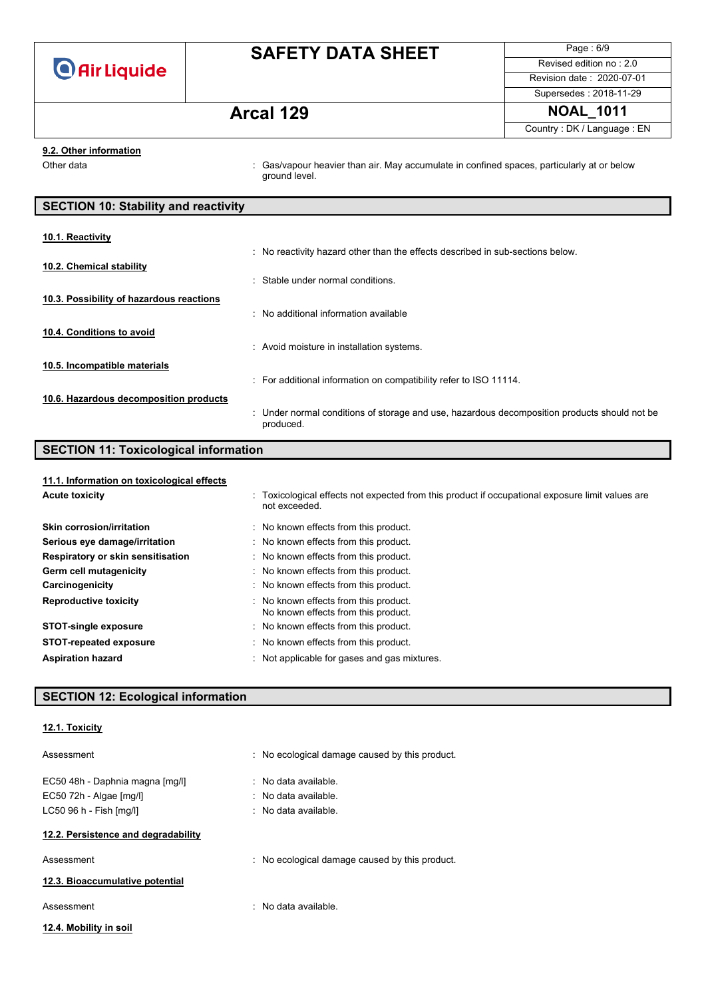

Page : 6/9 Revised edition no : 2.0 Revision date : 2020-07-01 Supersedes : 2018-11-29

## **Arcal 129 NOAL\_1011**

Country : DK / Language : EN

#### **9.2. Other information**

Other data **intervals : Gas/vapour heavier than air.** May accumulate in confined spaces, particularly at or below ground level.

| <b>SECTION 10: Stability and reactivity</b> |                                                                                                           |  |
|---------------------------------------------|-----------------------------------------------------------------------------------------------------------|--|
|                                             |                                                                                                           |  |
| 10.1. Reactivity                            |                                                                                                           |  |
|                                             | : No reactivity hazard other than the effects described in sub-sections below.                            |  |
| 10.2. Chemical stability                    |                                                                                                           |  |
|                                             | : Stable under normal conditions.                                                                         |  |
|                                             |                                                                                                           |  |
| 10.3. Possibility of hazardous reactions    |                                                                                                           |  |
|                                             | . No additional information available                                                                     |  |
| 10.4. Conditions to avoid                   |                                                                                                           |  |
|                                             | : Avoid moisture in installation systems.                                                                 |  |
|                                             |                                                                                                           |  |
| 10.5. Incompatible materials                |                                                                                                           |  |
|                                             | : For additional information on compatibility refer to ISO 11114.                                         |  |
| 10.6. Hazardous decomposition products      |                                                                                                           |  |
|                                             | : Under normal conditions of storage and use, hazardous decomposition products should not be<br>produced. |  |

# **SECTION 11: Toxicological information**

| 11.1. Information on toxicological effects |                                                                                                                   |
|--------------------------------------------|-------------------------------------------------------------------------------------------------------------------|
| <b>Acute toxicity</b>                      | : Toxicological effects not expected from this product if occupational exposure limit values are<br>not exceeded. |
| Skin corrosion/irritation                  | : No known effects from this product.                                                                             |
| Serious eye damage/irritation              | : No known effects from this product.                                                                             |
| Respiratory or skin sensitisation          | : No known effects from this product.                                                                             |
| Germ cell mutagenicity                     | : No known effects from this product.                                                                             |
| Carcinogenicity                            | : No known effects from this product.                                                                             |
| <b>Reproductive toxicity</b>               | : No known effects from this product.<br>No known effects from this product.                                      |
| <b>STOT-single exposure</b>                | : No known effects from this product.                                                                             |
| <b>STOT-repeated exposure</b>              | : No known effects from this product.                                                                             |
| <b>Aspiration hazard</b>                   | : Not applicable for gases and gas mixtures.                                                                      |

### **SECTION 12: Ecological information**

**12.1. Toxicity**

| Assessment                                                                            | : No ecological damage caused by this product.                                                        |
|---------------------------------------------------------------------------------------|-------------------------------------------------------------------------------------------------------|
| EC50 48h - Daphnia magna [mq/l]<br>EC50 72h - Algae [mg/l]<br>LC50 96 h - Fish [mq/l] | $\therefore$ No data available.<br>$\therefore$ No data available.<br>$\therefore$ No data available. |
| 12.2. Persistence and degradability                                                   |                                                                                                       |
| Assessment                                                                            | : No ecological damage caused by this product.                                                        |
| 12.3. Bioaccumulative potential                                                       |                                                                                                       |
| Assessment                                                                            | $\therefore$ No data available.                                                                       |
| 12.4. Mobility in soil                                                                |                                                                                                       |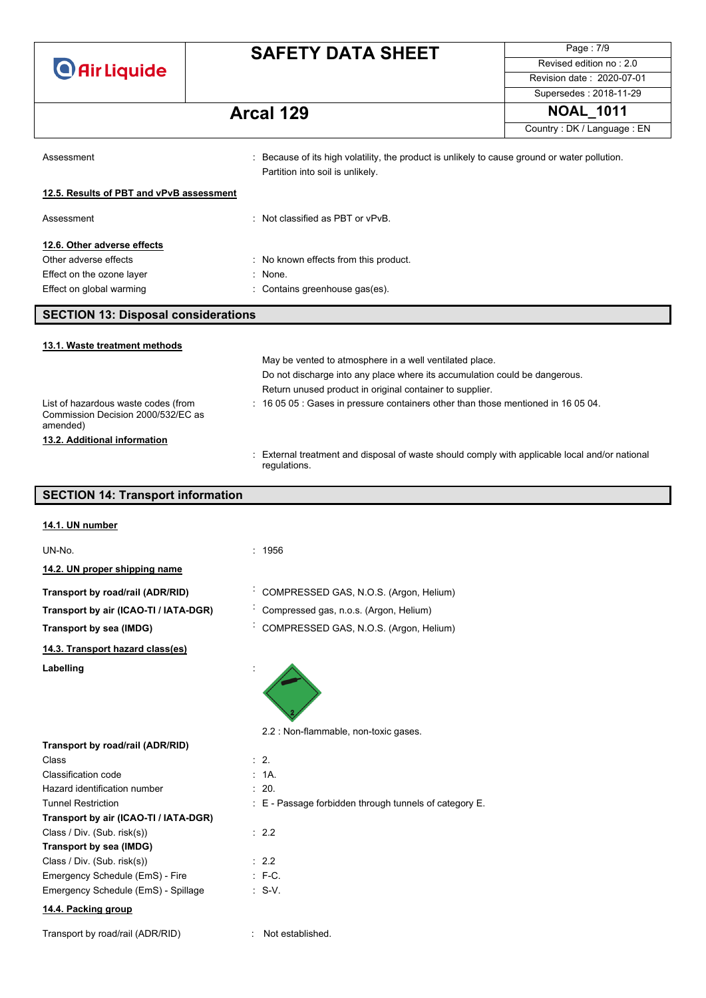Page : 7/9 Revised edition no : 2.0 Revision date : 2020-07-01 Supersedes : 2018-11-29 **Arcal 129 NOAL\_1011**

Country : DK / Language : EN

| Assessment                                 | : Because of its high volatility, the product is unlikely to cause ground or water pollution.<br>Partition into soil is unlikely. |
|--------------------------------------------|-----------------------------------------------------------------------------------------------------------------------------------|
| 12.5. Results of PBT and vPvB assessment   |                                                                                                                                   |
| Assessment                                 | : Not classified as PBT or $vPvB$ .                                                                                               |
| 12.6. Other adverse effects                |                                                                                                                                   |
| Other adverse effects                      | : No known effects from this product.                                                                                             |
| Effect on the ozone layer                  | : None.                                                                                                                           |
| Effect on global warming                   | : Contains greenhouse gas(es).                                                                                                    |
| <b>SECTION 13: Disposal considerations</b> |                                                                                                                                   |
| 13.1. Waste treatment methods              |                                                                                                                                   |
|                                            | May be vented to atmosphere in a well ventilated place.                                                                           |
|                                            | Do not discharge into any place where its accumulation could be dangerous.                                                        |
|                                            | Return unused product in original container to supplier.                                                                          |
| List of hazardous waste codes (from        | $\div$ 16 05 05 $\div$ Gases in pressure containers other than those mentioned in 16 05 04.                                       |

Commission Decision 2000/532/EC as amended)

**13.2. Additional information**

: External treatment and disposal of waste should comply with applicable local and/or national regulations.

### **SECTION 14: Transport information**

|  | 14.1. UN number |
|--|-----------------|
|  |                 |

| UN-No.                                | : 1956                                                     |
|---------------------------------------|------------------------------------------------------------|
| 14.2. UN proper shipping name         |                                                            |
| Transport by road/rail (ADR/RID)      | COMPRESSED GAS, N.O.S. (Argon, Helium)                     |
| Transport by air (ICAO-TI / IATA-DGR) | Compressed gas, n.o.s. (Argon, Helium)                     |
| Transport by sea (IMDG)               | COMPRESSED GAS, N.O.S. (Argon, Helium)                     |
| 14.3. Transport hazard class(es)      |                                                            |
| Labelling                             |                                                            |
|                                       | 2.2 : Non-flammable, non-toxic gases.                      |
| Transport by road/rail (ADR/RID)      |                                                            |
| Class                                 | $\therefore$ 2.                                            |
| Classification code                   | : 1A                                                       |
| Hazard identification number          | : 20.                                                      |
| <b>Tunnel Restriction</b>             | $\pm$ E - Passage forbidden through tunnels of category E. |
| Transport by air (ICAO-TI / IATA-DGR) |                                                            |
| Class / Div. (Sub. risk(s))           | : 2.2                                                      |
| Transport by sea (IMDG)               |                                                            |
| Class / Div. (Sub. risk(s))           | : 2.2                                                      |
| Emergency Schedule (EmS) - Fire       | $: F-C.$                                                   |
| Emergency Schedule (EmS) - Spillage   | $: S-V.$                                                   |
| 14.4. Packing group                   |                                                            |
| Transport by road/rail (ADR/RID)      | Not established.                                           |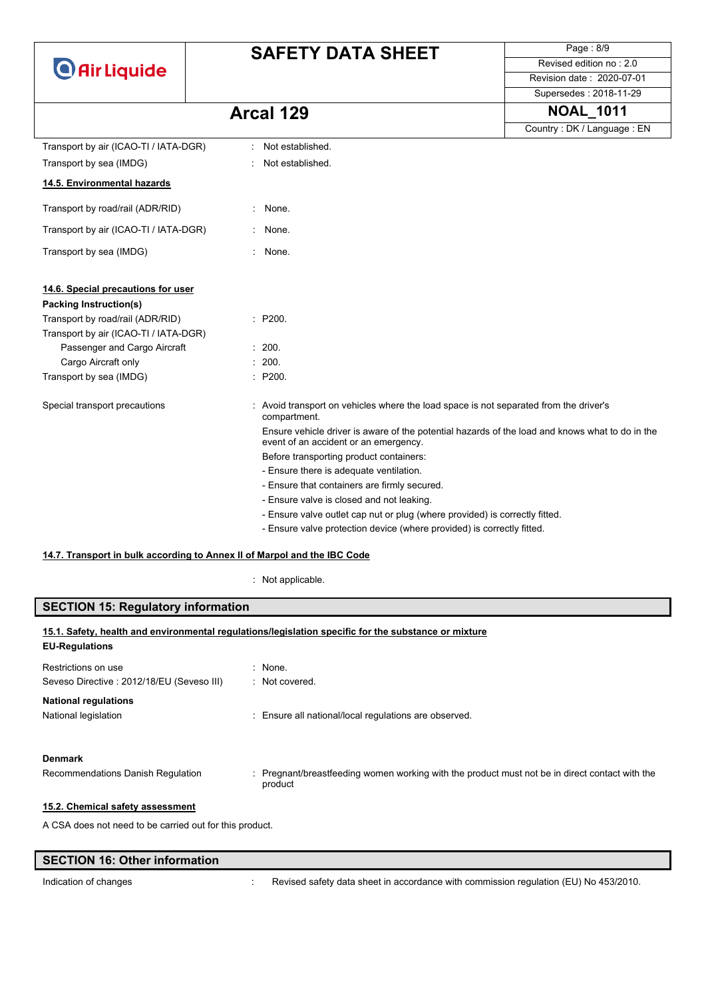| <b>O</b> Air Liquide |
|----------------------|
|----------------------|

Page : 8/9 Revised edition no : 2.0 Revision date : 2020-07-01

#### Supersedes : 2018-11-29

| <b>NOAL 1011</b><br>Arcal 129 |
|-------------------------------|
|-------------------------------|

|                                       |                                                                                                                                          | Country: DK / Language: EN |
|---------------------------------------|------------------------------------------------------------------------------------------------------------------------------------------|----------------------------|
| Transport by air (ICAO-TI / IATA-DGR) | Not established.                                                                                                                         |                            |
| Transport by sea (IMDG)               | Not established.                                                                                                                         |                            |
| 14.5. Environmental hazards           |                                                                                                                                          |                            |
| Transport by road/rail (ADR/RID)      | None.                                                                                                                                    |                            |
| Transport by air (ICAO-TI / IATA-DGR) | None.                                                                                                                                    |                            |
| Transport by sea (IMDG)               | None.                                                                                                                                    |                            |
| 14.6. Special precautions for user    |                                                                                                                                          |                            |
| <b>Packing Instruction(s)</b>         |                                                                                                                                          |                            |
| Transport by road/rail (ADR/RID)      | : P200.                                                                                                                                  |                            |
| Transport by air (ICAO-TI / IATA-DGR) |                                                                                                                                          |                            |
| Passenger and Cargo Aircraft          | : 200.                                                                                                                                   |                            |
| Cargo Aircraft only                   | : 200.                                                                                                                                   |                            |
| Transport by sea (IMDG)               | : P200.                                                                                                                                  |                            |
| Special transport precautions         | Avoid transport on vehicles where the load space is not separated from the driver's<br>compartment.                                      |                            |
|                                       | Ensure vehicle driver is aware of the potential hazards of the load and knows what to do in the<br>event of an accident or an emergency. |                            |
|                                       | Before transporting product containers:                                                                                                  |                            |
|                                       | - Ensure there is adequate ventilation.                                                                                                  |                            |
|                                       | - Ensure that containers are firmly secured.                                                                                             |                            |
|                                       | - Ensure valve is closed and not leaking.                                                                                                |                            |
|                                       | - Ensure valve outlet cap nut or plug (where provided) is correctly fitted.                                                              |                            |
|                                       | - Ensure valve protection device (where provided) is correctly fitted.                                                                   |                            |

### **14.7. Transport in bulk according to Annex II of Marpol and the IBC Code**

: Not applicable.

| <b>SECTION 15: Regulatory information</b>                                                   |                                                                                                         |
|---------------------------------------------------------------------------------------------|---------------------------------------------------------------------------------------------------------|
| <b>EU-Regulations</b>                                                                       | 15.1. Safety, health and environmental regulations/legislation specific for the substance or mixture    |
| Restrictions on use<br>Seveso Directive: 2012/18/EU (Seveso III)                            | : None.<br>: Not covered.                                                                               |
| <b>National regulations</b><br>National legislation                                         | Ensure all national/local regulations are observed.                                                     |
| <b>Denmark</b><br>Recommendations Danish Regulation                                         | Pregnant/breastfeeding women working with the product must not be in direct contact with the<br>product |
| 15.2. Chemical safety assessment<br>A CSA does not need to be carried out for this product. |                                                                                                         |

| <b>SECTION 16: Other information</b> |                                                                                      |
|--------------------------------------|--------------------------------------------------------------------------------------|
| Indication of changes                | Revised safety data sheet in accordance with commission regulation (EU) No 453/2010. |